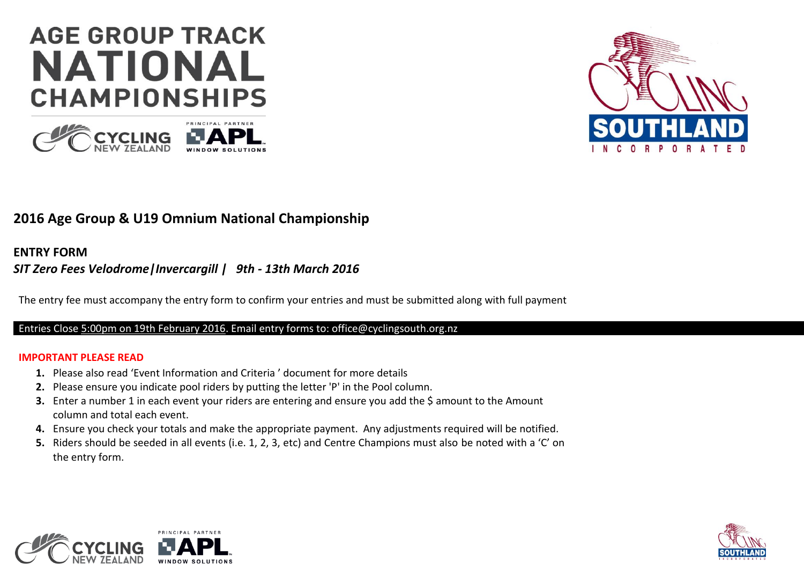# **AGE GROUP TRACK NATIONAL CHAMPIONSHIPS**





## **2016 Age Group & U19 Omnium National Championship**

#### **ENTRY FORM**

### *SIT Zero Fees Velodrome|Invercargill | 9th - 13th March 2016*

The entry fee must accompany the entry form to confirm your entries and must be submitted along with full payment

#### Entries Close 5:00pm on 19th February 2016. Email entry forms to: office@cyclingsouth.org.nz

#### **IMPORTANT PLEASE READ**

- **1.** Please also read 'Event Information and Criteria ' document for more details
- **2.** Please ensure you indicate pool riders by putting the letter 'P' in the Pool column.
- **3.** Enter a number 1 in each event your riders are entering and ensure you add the \$ amount to the Amount column and total each event.
- **4.** Ensure you check your totals and make the appropriate payment. Any adjustments required will be notified.
- **5.** Riders should be seeded in all events (i.e. 1, 2, 3, etc) and Centre Champions must also be noted with a 'C' on the entry form.



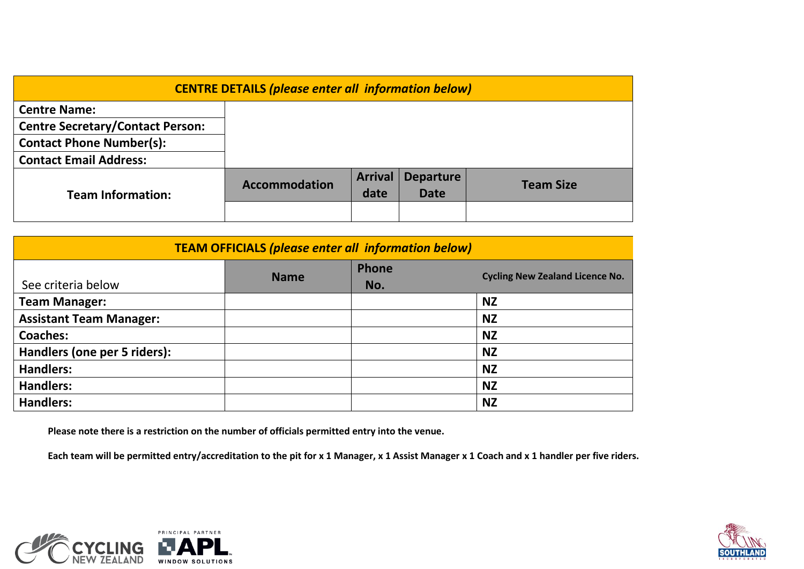| <b>CENTRE DETAILS (please enter all information below)</b> |                      |                |                  |                  |  |
|------------------------------------------------------------|----------------------|----------------|------------------|------------------|--|
| <b>Centre Name:</b>                                        |                      |                |                  |                  |  |
| <b>Centre Secretary/Contact Person:</b>                    |                      |                |                  |                  |  |
| <b>Contact Phone Number(s):</b>                            |                      |                |                  |                  |  |
| <b>Contact Email Address:</b>                              |                      |                |                  |                  |  |
|                                                            | <b>Accommodation</b> | <b>Arrival</b> | <b>Departure</b> | <b>Team Size</b> |  |
| <b>Team Information:</b>                                   |                      | date           | <b>Date</b>      |                  |  |
|                                                            |                      |                |                  |                  |  |

| <b>TEAM OFFICIALS (please enter all information below)</b> |             |              |                                        |  |  |
|------------------------------------------------------------|-------------|--------------|----------------------------------------|--|--|
| See criteria below                                         | <b>Name</b> | Phone<br>No. | <b>Cycling New Zealand Licence No.</b> |  |  |
| <b>Team Manager:</b>                                       |             |              | <b>NZ</b>                              |  |  |
| <b>Assistant Team Manager:</b>                             |             |              | <b>NZ</b>                              |  |  |
| <b>Coaches:</b>                                            |             |              | <b>NZ</b>                              |  |  |
| Handlers (one per 5 riders):                               |             |              | <b>NZ</b>                              |  |  |
| <b>Handlers:</b>                                           |             |              | <b>NZ</b>                              |  |  |
| <b>Handlers:</b>                                           |             |              | <b>NZ</b>                              |  |  |
| <b>Handlers:</b>                                           |             |              | <b>NZ</b>                              |  |  |

**Please note there is a restriction on the number of officials permitted entry into the venue.**

**Each team will be permitted entry/accreditation to the pit for x 1 Manager, x 1 Assist Manager x 1 Coach and x 1 handler per five riders.** 



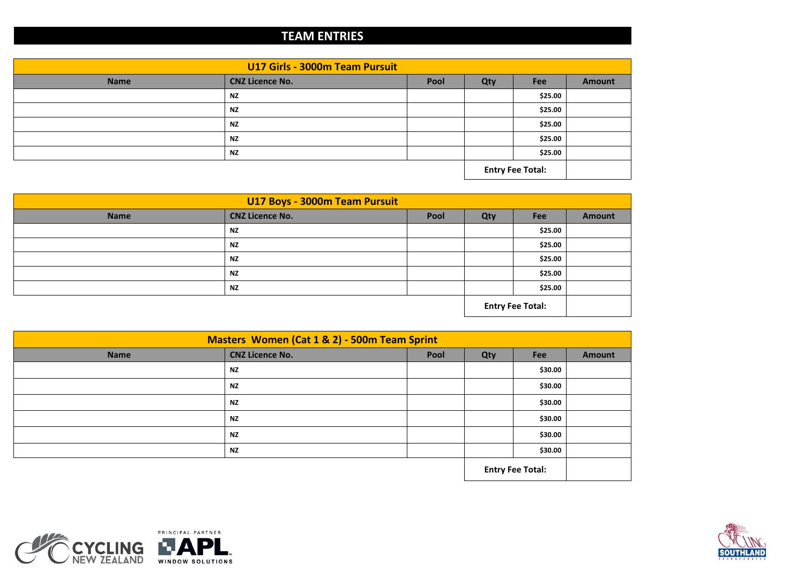## **TEAM ENTRIES**

| U17 Girls - 3000m Team Pursuit |                        |      |                         |         |        |  |
|--------------------------------|------------------------|------|-------------------------|---------|--------|--|
| <b>Name</b>                    | <b>CNZ Licence No.</b> | Pool | Qty                     | Fee     | Amount |  |
|                                | <b>NZ</b>              |      |                         | \$25.00 |        |  |
|                                | <b>NZ</b>              |      |                         | \$25.00 |        |  |
|                                | <b>NZ</b>              |      |                         | \$25.00 |        |  |
|                                | <b>NZ</b>              |      |                         | \$25.00 |        |  |
|                                | <b>NZ</b>              |      |                         | \$25.00 |        |  |
|                                |                        |      | <b>Entry Fee Total:</b> |         |        |  |

| U17 Boys - 3000m Team Pursuit |                        |      |                         |         |               |  |
|-------------------------------|------------------------|------|-------------------------|---------|---------------|--|
| <b>Name</b>                   | <b>CNZ Licence No.</b> | Pool | Qty                     | Fee     | <b>Amount</b> |  |
|                               | <b>NZ</b>              |      |                         | \$25.00 |               |  |
|                               | <b>NZ</b>              |      |                         | \$25.00 |               |  |
|                               | <b>NZ</b>              |      |                         | \$25.00 |               |  |
|                               | <b>NZ</b>              |      |                         | \$25.00 |               |  |
|                               | <b>NZ</b>              |      |                         | \$25.00 |               |  |
|                               |                        |      | <b>Entry Fee Total:</b> |         |               |  |

| Masters Women (Cat 1 & 2) - 500m Team Sprint |                        |      |     |            |               |
|----------------------------------------------|------------------------|------|-----|------------|---------------|
| <b>Name</b>                                  | <b>CNZ Licence No.</b> | Pool | Qty | <b>Fee</b> | <b>Amount</b> |
|                                              | <b>NZ</b>              |      |     | \$30.00    |               |
|                                              | <b>NZ</b>              |      |     | \$30.00    |               |
|                                              | <b>NZ</b>              |      |     | \$30.00    |               |
|                                              | <b>NZ</b>              |      |     | \$30.00    |               |
|                                              | <b>NZ</b>              |      |     | \$30.00    |               |
|                                              | <b>NZ</b>              |      |     | \$30.00    |               |
| <b>Entry Fee Total:</b>                      |                        |      |     |            |               |



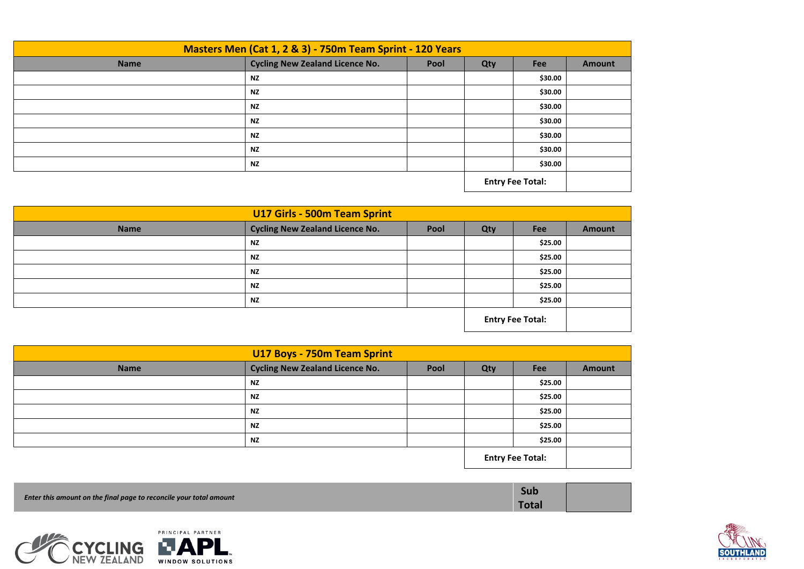| Masters Men (Cat 1, 2 & 3) - 750m Team Sprint - 120 Years |                                        |      |                         |         |               |  |
|-----------------------------------------------------------|----------------------------------------|------|-------------------------|---------|---------------|--|
| <b>Name</b>                                               | <b>Cycling New Zealand Licence No.</b> | Pool | Qty                     | Fee     | <b>Amount</b> |  |
|                                                           | <b>NZ</b>                              |      |                         | \$30.00 |               |  |
|                                                           | <b>NZ</b>                              |      |                         | \$30.00 |               |  |
|                                                           | <b>NZ</b>                              |      |                         | \$30.00 |               |  |
|                                                           | <b>NZ</b>                              |      |                         | \$30.00 |               |  |
|                                                           | <b>NZ</b>                              |      |                         | \$30.00 |               |  |
|                                                           | <b>NZ</b>                              |      |                         | \$30.00 |               |  |
|                                                           | <b>NZ</b>                              |      |                         | \$30.00 |               |  |
|                                                           |                                        |      | <b>Entry Fee Total:</b> |         |               |  |

| U17 Girls - 500m Team Sprint                                  |           |  |                         |         |               |  |
|---------------------------------------------------------------|-----------|--|-------------------------|---------|---------------|--|
| <b>Cycling New Zealand Licence No.</b><br><b>Name</b><br>Pool |           |  |                         | Fee     | <b>Amount</b> |  |
|                                                               | <b>NZ</b> |  |                         | \$25.00 |               |  |
|                                                               | <b>NZ</b> |  |                         | \$25.00 |               |  |
|                                                               | <b>NZ</b> |  |                         | \$25.00 |               |  |
|                                                               | <b>NZ</b> |  |                         | \$25.00 |               |  |
|                                                               | <b>NZ</b> |  |                         | \$25.00 |               |  |
|                                                               |           |  | <b>Entry Fee Total:</b> |         |               |  |

| <b>U17 Boys - 750m Team Sprint</b> |           |     |                         |         |  |
|------------------------------------|-----------|-----|-------------------------|---------|--|
| <b>Name</b>                        | Qty       | Fee | <b>Amount</b>           |         |  |
|                                    | <b>NZ</b> |     |                         | \$25.00 |  |
|                                    | <b>NZ</b> |     |                         | \$25.00 |  |
|                                    | <b>NZ</b> |     |                         | \$25.00 |  |
|                                    | <b>NZ</b> |     |                         | \$25.00 |  |
|                                    | <b>NZ</b> |     |                         | \$25.00 |  |
|                                    |           |     | <b>Entry Fee Total:</b> |         |  |

| Enter this amount on the final page to reconcile your total amount | Sub          |  |
|--------------------------------------------------------------------|--------------|--|
|                                                                    | <b>Total</b> |  |



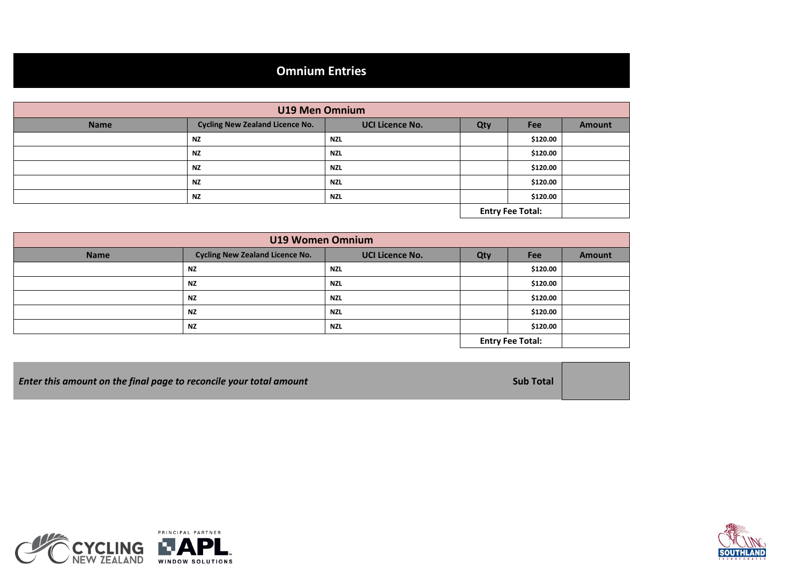# **Omnium Entries**

| <b>U19 Men Omnium</b> |                                        |                        |                         |            |               |
|-----------------------|----------------------------------------|------------------------|-------------------------|------------|---------------|
| <b>Name</b>           | <b>Cycling New Zealand Licence No.</b> | <b>UCI Licence No.</b> | Qty                     | <b>Fee</b> | <b>Amount</b> |
|                       | <b>NZ</b>                              | <b>NZL</b>             |                         | \$120.00   |               |
|                       | <b>NZ</b>                              | <b>NZL</b>             |                         | \$120.00   |               |
|                       | <b>NZ</b>                              | <b>NZL</b>             |                         | \$120.00   |               |
|                       | <b>NZ</b>                              | <b>NZL</b>             |                         | \$120.00   |               |
|                       | <b>NZ</b>                              | <b>NZL</b>             |                         | \$120.00   |               |
|                       |                                        |                        | <b>Entry Fee Total:</b> |            |               |

| <b>U19 Women Omnium</b> |                                        |                        |                         |            |               |  |
|-------------------------|----------------------------------------|------------------------|-------------------------|------------|---------------|--|
| <b>Name</b>             | <b>Cycling New Zealand Licence No.</b> | <b>UCI Licence No.</b> | Qty                     | <b>Fee</b> | <b>Amount</b> |  |
|                         | <b>NZ</b>                              | <b>NZL</b>             |                         | \$120.00   |               |  |
|                         | <b>NZ</b>                              | <b>NZL</b>             |                         | \$120.00   |               |  |
|                         | <b>NZ</b>                              | <b>NZL</b>             |                         | \$120.00   |               |  |
|                         | <b>NZ</b>                              | <b>NZL</b>             |                         | \$120.00   |               |  |
|                         | <b>NZ</b>                              | <b>NZL</b>             |                         | \$120.00   |               |  |
|                         |                                        |                        | <b>Entry Fee Total:</b> |            |               |  |

| <b>Enter this amount on the final page to reconcile your total amount</b> | <b>Sub Total</b> |  |
|---------------------------------------------------------------------------|------------------|--|
|---------------------------------------------------------------------------|------------------|--|



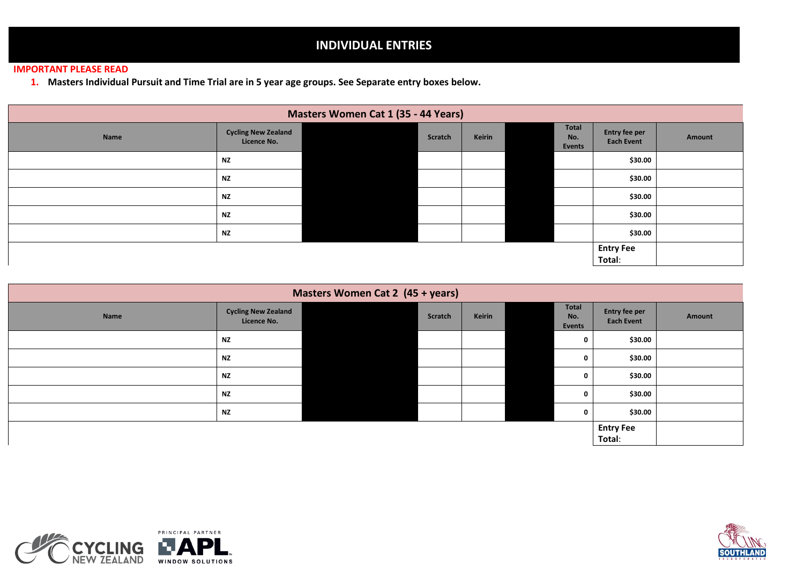## **INDIVIDUAL ENTRIES**

#### **IMPORTANT PLEASE READ**

**1. Masters Individual Pursuit and Time Trial are in 5 year age groups. See Separate entry boxes below.**

|      | <b>Masters Women Cat 1 (35 - 44 Years)</b> |  |         |        |  |                        |                                    |        |  |  |  |
|------|--------------------------------------------|--|---------|--------|--|------------------------|------------------------------------|--------|--|--|--|
| Name | <b>Cycling New Zealand</b><br>Licence No.  |  | Scratch | Keirin |  | Total<br>No.<br>Events | Entry fee per<br><b>Each Event</b> | Amount |  |  |  |
|      | <b>NZ</b>                                  |  |         |        |  |                        | \$30.00                            |        |  |  |  |
|      | <b>NZ</b>                                  |  |         |        |  |                        | \$30.00                            |        |  |  |  |
|      | <b>NZ</b>                                  |  |         |        |  |                        | \$30.00                            |        |  |  |  |
|      | <b>NZ</b>                                  |  |         |        |  |                        | \$30.00                            |        |  |  |  |
|      | <b>NZ</b>                                  |  |         |        |  |                        | \$30.00                            |        |  |  |  |
|      |                                            |  |         |        |  |                        |                                    |        |  |  |  |

| Masters Women Cat 2 (45 + years) |                                           |  |         |               |  |                        |                                           |        |  |  |
|----------------------------------|-------------------------------------------|--|---------|---------------|--|------------------------|-------------------------------------------|--------|--|--|
| Name                             | <b>Cycling New Zealand</b><br>Licence No. |  | Scratch | <b>Keirin</b> |  | Total<br>No.<br>Events | <b>Entry fee per</b><br><b>Each Event</b> | Amount |  |  |
|                                  | <b>NZ</b>                                 |  |         |               |  | $\mathbf 0$            | \$30.00                                   |        |  |  |
|                                  | <b>NZ</b>                                 |  |         |               |  | 0                      | \$30.00                                   |        |  |  |
|                                  | <b>NZ</b>                                 |  |         |               |  | $\mathbf 0$            | \$30.00                                   |        |  |  |
|                                  | <b>NZ</b>                                 |  |         |               |  | 0                      | \$30.00                                   |        |  |  |
|                                  | <b>NZ</b>                                 |  |         |               |  | 0                      | \$30.00                                   |        |  |  |
|                                  |                                           |  |         |               |  |                        | <b>Entry Fee</b>                          |        |  |  |
|                                  |                                           |  |         |               |  |                        | Total:                                    |        |  |  |



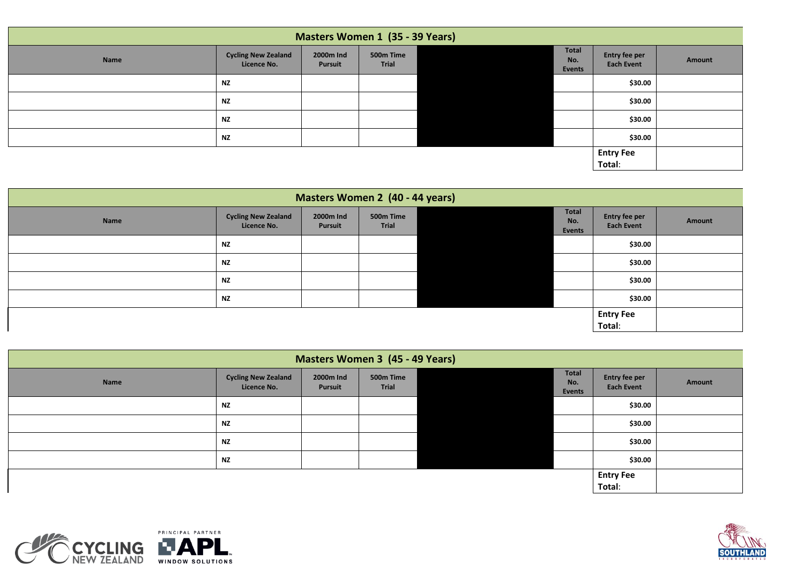| <b>Masters Women 1 (35 - 39 Years)</b> |                                           |                      |                    |  |                        |                                    |        |  |  |
|----------------------------------------|-------------------------------------------|----------------------|--------------------|--|------------------------|------------------------------------|--------|--|--|
| Name                                   | <b>Cycling New Zealand</b><br>Licence No. | 2000m Ind<br>Pursuit | 500m Time<br>Trial |  | Total<br>No.<br>Events | Entry fee per<br><b>Each Event</b> | Amount |  |  |
|                                        | <b>NZ</b>                                 |                      |                    |  |                        | \$30.00                            |        |  |  |
|                                        | <b>NZ</b>                                 |                      |                    |  |                        | \$30.00                            |        |  |  |
|                                        | <b>NZ</b>                                 |                      |                    |  |                        | \$30.00                            |        |  |  |
|                                        | <b>NZ</b>                                 |                      |                    |  |                        | \$30.00                            |        |  |  |
|                                        |                                           |                      |                    |  |                        | <b>Entry Fee</b>                   |        |  |  |
|                                        |                                           |                      |                    |  |                        | Total:                             |        |  |  |

|      | <b>Masters Women 2 (40 - 44 years)</b>    |                      |                    |  |                        |                                    |        |  |  |  |  |
|------|-------------------------------------------|----------------------|--------------------|--|------------------------|------------------------------------|--------|--|--|--|--|
| Name | <b>Cycling New Zealand</b><br>Licence No. | 2000m Ind<br>Pursuit | 500m Time<br>Trial |  | Total<br>No.<br>Events | Entry fee per<br><b>Each Event</b> | Amount |  |  |  |  |
|      | <b>NZ</b>                                 |                      |                    |  |                        | \$30.00                            |        |  |  |  |  |
|      | <b>NZ</b>                                 |                      |                    |  |                        | \$30.00                            |        |  |  |  |  |
|      | <b>NZ</b>                                 |                      |                    |  |                        | \$30.00                            |        |  |  |  |  |
|      | <b>NZ</b>                                 |                      |                    |  |                        | \$30.00                            |        |  |  |  |  |
|      |                                           |                      |                    |  |                        | <b>Entry Fee</b>                   |        |  |  |  |  |
|      |                                           |                      |                    |  |                        | Total:                             |        |  |  |  |  |

|      | <b>Masters Women 3 (45 - 49 Years)</b>    |                      |                    |  |                        |                                    |        |  |  |  |  |
|------|-------------------------------------------|----------------------|--------------------|--|------------------------|------------------------------------|--------|--|--|--|--|
| Name | <b>Cycling New Zealand</b><br>Licence No. | 2000m Ind<br>Pursuit | 500m Time<br>Trial |  | Total<br>No.<br>Events | Entry fee per<br><b>Each Event</b> | Amount |  |  |  |  |
|      | <b>NZ</b>                                 |                      |                    |  |                        | \$30.00                            |        |  |  |  |  |
|      | <b>NZ</b>                                 |                      |                    |  |                        | \$30.00                            |        |  |  |  |  |
|      | <b>NZ</b>                                 |                      |                    |  |                        | \$30.00                            |        |  |  |  |  |
|      | <b>NZ</b>                                 |                      |                    |  |                        | \$30.00                            |        |  |  |  |  |
|      |                                           |                      |                    |  |                        | <b>Entry Fee</b><br>Total:         |        |  |  |  |  |



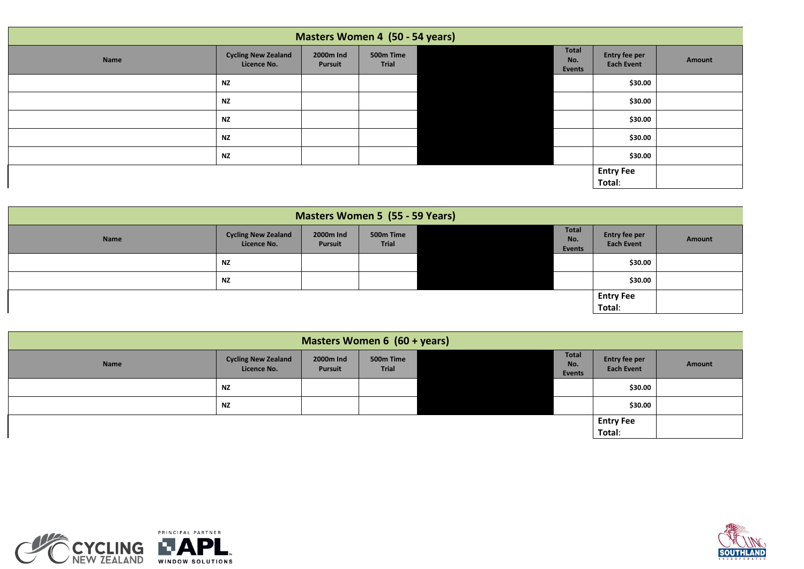|      | Masters Women 4 (50 - 54 years)           |                      |                    |  |                        |                                    |        |  |  |  |  |
|------|-------------------------------------------|----------------------|--------------------|--|------------------------|------------------------------------|--------|--|--|--|--|
| Name | <b>Cycling New Zealand</b><br>Licence No. | 2000m Ind<br>Pursuit | 500m Time<br>Trial |  | Total<br>No.<br>Events | Entry fee per<br><b>Each Event</b> | Amount |  |  |  |  |
|      | <b>NZ</b>                                 |                      |                    |  |                        | \$30.00                            |        |  |  |  |  |
|      | <b>NZ</b>                                 |                      |                    |  |                        | \$30.00                            |        |  |  |  |  |
|      | <b>NZ</b>                                 |                      |                    |  |                        | \$30.00                            |        |  |  |  |  |
|      | <b>NZ</b>                                 |                      |                    |  |                        | \$30.00                            |        |  |  |  |  |
|      | <b>NZ</b>                                 |                      |                    |  |                        | \$30.00                            |        |  |  |  |  |
|      |                                           |                      |                    |  |                        | <b>Entry Fee</b><br>Total:         |        |  |  |  |  |

| <b>Masters Women 5 (55 - 59 Years)</b> |                                           |                      |                    |  |                               |                                    |        |  |  |
|----------------------------------------|-------------------------------------------|----------------------|--------------------|--|-------------------------------|------------------------------------|--------|--|--|
| Name                                   | <b>Cycling New Zealand</b><br>Licence No. | 2000m Ind<br>Pursuit | 500m Time<br>Trial |  | Total<br>No.<br><b>Events</b> | Entry fee per<br><b>Each Event</b> | Amount |  |  |
|                                        | <b>NZ</b>                                 |                      |                    |  |                               | \$30.00                            |        |  |  |
|                                        | <b>NZ</b>                                 |                      |                    |  |                               | \$30.00                            |        |  |  |
|                                        |                                           |                      |                    |  |                               | <b>Entry Fee</b><br>Total:         |        |  |  |

| Masters Women 6 (60 + years) |                                           |                      |                    |  |                               |                                    |        |  |  |  |
|------------------------------|-------------------------------------------|----------------------|--------------------|--|-------------------------------|------------------------------------|--------|--|--|--|
| Name                         | <b>Cycling New Zealand</b><br>Licence No. | 2000m Ind<br>Pursuit | 500m Time<br>Trial |  | Total<br>No.<br><b>Events</b> | Entry fee per<br><b>Each Event</b> | Amount |  |  |  |
|                              | NZ                                        |                      |                    |  |                               | \$30.00                            |        |  |  |  |
|                              | ΝZ                                        |                      |                    |  |                               | \$30.00                            |        |  |  |  |
|                              |                                           |                      |                    |  |                               | <b>Entry Fee</b>                   |        |  |  |  |
|                              |                                           |                      |                    |  |                               | Total:                             |        |  |  |  |



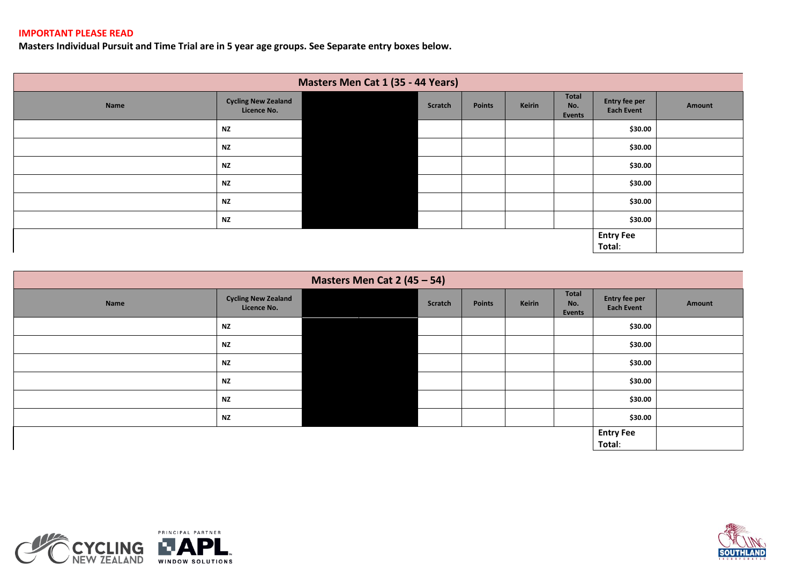#### **IMPORTANT PLEASE READ**

**Masters Individual Pursuit and Time Trial are in 5 year age groups. See Separate entry boxes below.**

|      | Masters Men Cat 1 (35 - 44 Years)         |  |         |        |        |                        |                                    |        |  |  |  |  |
|------|-------------------------------------------|--|---------|--------|--------|------------------------|------------------------------------|--------|--|--|--|--|
| Name | <b>Cycling New Zealand</b><br>Licence No. |  | Scratch | Points | Keirin | Total<br>No.<br>Events | Entry fee per<br><b>Each Event</b> | Amount |  |  |  |  |
|      | <b>NZ</b>                                 |  |         |        |        |                        | \$30.00                            |        |  |  |  |  |
|      | <b>NZ</b>                                 |  |         |        |        |                        | \$30.00                            |        |  |  |  |  |
|      | <b>NZ</b>                                 |  |         |        |        |                        | \$30.00                            |        |  |  |  |  |
|      | <b>NZ</b>                                 |  |         |        |        |                        | \$30.00                            |        |  |  |  |  |
|      | <b>NZ</b>                                 |  |         |        |        |                        | \$30.00                            |        |  |  |  |  |
|      | <b>NZ</b>                                 |  |         |        |        |                        | \$30.00                            |        |  |  |  |  |
|      |                                           |  |         |        |        |                        | <b>Entry Fee</b><br>Total:         |        |  |  |  |  |

|      | Masters Men Cat $2(45-54)$                |  |         |               |        |                               |                                    |        |  |  |  |  |
|------|-------------------------------------------|--|---------|---------------|--------|-------------------------------|------------------------------------|--------|--|--|--|--|
| Name | <b>Cycling New Zealand</b><br>Licence No. |  | Scratch | <b>Points</b> | Keirin | Total<br>No.<br><b>Events</b> | Entry fee per<br><b>Each Event</b> | Amount |  |  |  |  |
|      | <b>NZ</b>                                 |  |         |               |        |                               | \$30.00                            |        |  |  |  |  |
|      | <b>NZ</b>                                 |  |         |               |        |                               | \$30.00                            |        |  |  |  |  |
|      | <b>NZ</b>                                 |  |         |               |        |                               | \$30.00                            |        |  |  |  |  |
|      | <b>NZ</b>                                 |  |         |               |        |                               | \$30.00                            |        |  |  |  |  |
|      | <b>NZ</b>                                 |  |         |               |        |                               | \$30.00                            |        |  |  |  |  |
|      | <b>NZ</b>                                 |  |         |               |        |                               | \$30.00                            |        |  |  |  |  |
|      |                                           |  |         |               |        |                               | <b>Entry Fee</b><br>Total:         |        |  |  |  |  |



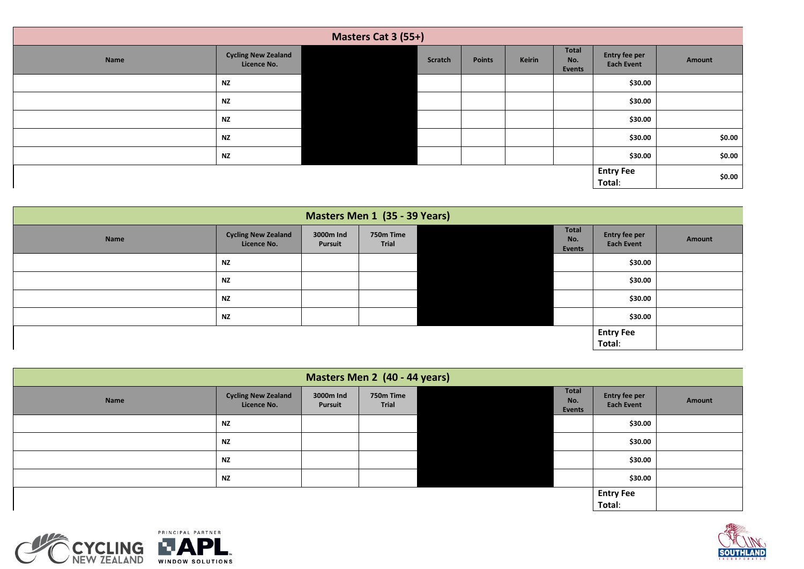|      | Masters Cat 3 (55+)                       |  |         |        |        |                        |                                           |        |  |  |  |
|------|-------------------------------------------|--|---------|--------|--------|------------------------|-------------------------------------------|--------|--|--|--|
| Name | <b>Cycling New Zealand</b><br>Licence No. |  | Scratch | Points | Keirin | Total<br>No.<br>Events | <b>Entry fee per</b><br><b>Each Event</b> | Amount |  |  |  |
|      | <b>NZ</b>                                 |  |         |        |        |                        | \$30.00                                   |        |  |  |  |
|      | <b>NZ</b>                                 |  |         |        |        |                        | \$30.00                                   |        |  |  |  |
|      | <b>NZ</b>                                 |  |         |        |        |                        | \$30.00                                   |        |  |  |  |
|      | <b>NZ</b>                                 |  |         |        |        |                        | \$30.00                                   | \$0.00 |  |  |  |
|      | <b>NZ</b>                                 |  |         |        |        |                        | \$30.00                                   | \$0.00 |  |  |  |
|      |                                           |  |         |        |        |                        | <b>Entry Fee</b><br>Total:                | \$0.00 |  |  |  |

|      | Masters Men 1 (35 - 39 Years)             |                      |                    |  |                                      |                                    |        |  |  |  |  |  |
|------|-------------------------------------------|----------------------|--------------------|--|--------------------------------------|------------------------------------|--------|--|--|--|--|--|
| Name | <b>Cycling New Zealand</b><br>Licence No. | 3000m Ind<br>Pursuit | 750m Time<br>Trial |  | <b>Total</b><br>No.<br><b>Events</b> | Entry fee per<br><b>Each Event</b> | Amount |  |  |  |  |  |
|      | <b>NZ</b>                                 |                      |                    |  |                                      | \$30.00                            |        |  |  |  |  |  |
|      | <b>NZ</b>                                 |                      |                    |  |                                      | \$30.00                            |        |  |  |  |  |  |
|      | <b>NZ</b>                                 |                      |                    |  |                                      | \$30.00                            |        |  |  |  |  |  |
|      | <b>NZ</b>                                 |                      |                    |  |                                      | \$30.00                            |        |  |  |  |  |  |
|      |                                           |                      |                    |  |                                      | <b>Entry Fee</b>                   |        |  |  |  |  |  |
|      |                                           |                      |                    |  |                                      | Total:                             |        |  |  |  |  |  |

| Masters Men 2 (40 - 44 years) |                                           |                      |                    |  |                               |                                    |        |  |
|-------------------------------|-------------------------------------------|----------------------|--------------------|--|-------------------------------|------------------------------------|--------|--|
| Name                          | <b>Cycling New Zealand</b><br>Licence No. | 3000m Ind<br>Pursuit | 750m Time<br>Trial |  | <b>Total</b><br>No.<br>Events | Entry fee per<br><b>Each Event</b> | Amount |  |
|                               | <b>NZ</b>                                 |                      |                    |  |                               | \$30.00                            |        |  |
|                               | <b>NZ</b>                                 |                      |                    |  |                               | \$30.00                            |        |  |
|                               | <b>NZ</b>                                 |                      |                    |  |                               | \$30.00                            |        |  |
|                               | <b>NZ</b>                                 |                      |                    |  |                               | \$30.00                            |        |  |
|                               |                                           |                      |                    |  |                               | <b>Entry Fee</b><br>Total:         |        |  |



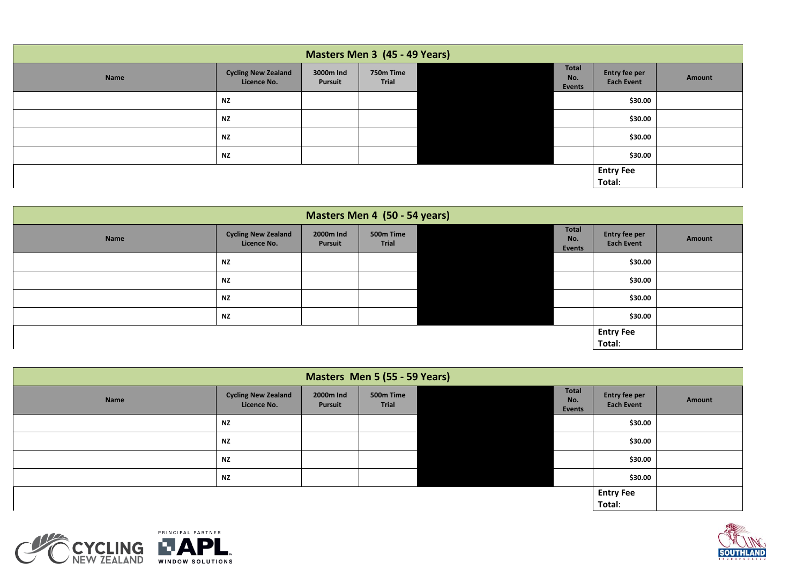| Masters Men 3 (45 - 49 Years) |                                           |                      |                    |  |                                      |                                    |        |
|-------------------------------|-------------------------------------------|----------------------|--------------------|--|--------------------------------------|------------------------------------|--------|
| Name                          | <b>Cycling New Zealand</b><br>Licence No. | 3000m Ind<br>Pursuit | 750m Time<br>Trial |  | <b>Total</b><br>No.<br><b>Events</b> | Entry fee per<br><b>Each Event</b> | Amount |
|                               | <b>NZ</b>                                 |                      |                    |  |                                      | \$30.00                            |        |
|                               | <b>NZ</b>                                 |                      |                    |  |                                      | \$30.00                            |        |
|                               | <b>NZ</b>                                 |                      |                    |  |                                      | \$30.00                            |        |
|                               | <b>NZ</b>                                 |                      |                    |  |                                      | \$30.00                            |        |
|                               |                                           |                      |                    |  |                                      | <b>Entry Fee</b><br>Total:         |        |

| Masters Men 4 (50 - 54 years) |                                           |                      |                    |  |                               |                                    |        |
|-------------------------------|-------------------------------------------|----------------------|--------------------|--|-------------------------------|------------------------------------|--------|
| Name                          | <b>Cycling New Zealand</b><br>Licence No. | 2000m Ind<br>Pursuit | 500m Time<br>Trial |  | <b>Total</b><br>No.<br>Events | Entry fee per<br><b>Each Event</b> | Amount |
|                               | <b>NZ</b>                                 |                      |                    |  |                               | \$30.00                            |        |
|                               | <b>NZ</b>                                 |                      |                    |  |                               | \$30.00                            |        |
|                               | <b>NZ</b>                                 |                      |                    |  |                               | \$30.00                            |        |
|                               | <b>NZ</b>                                 |                      |                    |  |                               | \$30.00                            |        |
|                               |                                           |                      |                    |  |                               | <b>Entry Fee</b><br>Total:         |        |

| Masters Men 5 (55 - 59 Years) |                                           |                      |                           |  |                        |                                    |        |
|-------------------------------|-------------------------------------------|----------------------|---------------------------|--|------------------------|------------------------------------|--------|
| Name                          | <b>Cycling New Zealand</b><br>Licence No. | 2000m Ind<br>Pursuit | 500m Time<br><b>Trial</b> |  | Total<br>No.<br>Events | Entry fee per<br><b>Each Event</b> | Amount |
|                               | <b>NZ</b>                                 |                      |                           |  |                        | \$30.00                            |        |
|                               | <b>NZ</b>                                 |                      |                           |  |                        | \$30.00                            |        |
|                               | <b>NZ</b>                                 |                      |                           |  |                        | \$30.00                            |        |
|                               | <b>NZ</b>                                 |                      |                           |  |                        | \$30.00                            |        |
|                               |                                           |                      |                           |  |                        | <b>Entry Fee</b><br>Total:         |        |



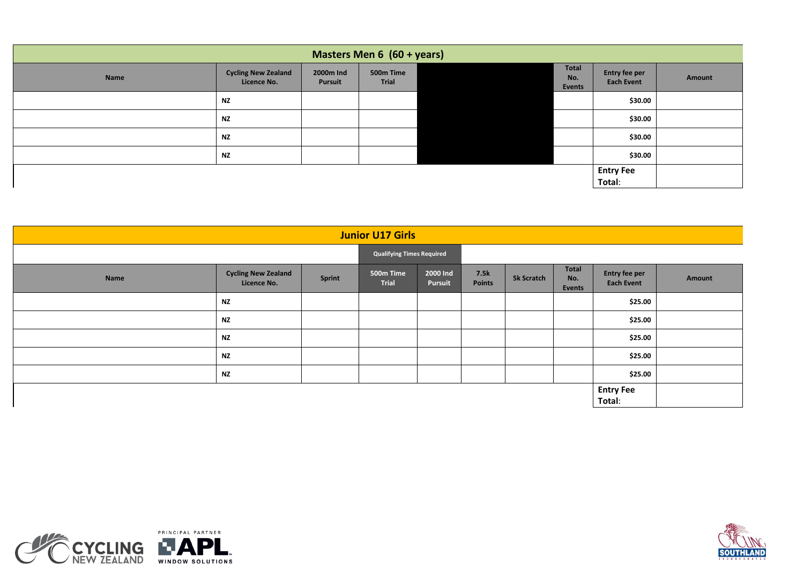| Masters Men 6 (60 + years) |                                           |                      |                    |  |                        |                                    |        |
|----------------------------|-------------------------------------------|----------------------|--------------------|--|------------------------|------------------------------------|--------|
| Name                       | <b>Cycling New Zealand</b><br>Licence No. | 2000m Ind<br>Pursuit | 500m Time<br>Trial |  | Total<br>No.<br>Events | Entry fee per<br><b>Each Event</b> | Amount |
|                            | <b>NZ</b>                                 |                      |                    |  |                        | \$30.00                            |        |
|                            | <b>NZ</b>                                 |                      |                    |  |                        | \$30.00                            |        |
|                            | <b>NZ</b>                                 |                      |                    |  |                        | \$30.00                            |        |
|                            | <b>NZ</b>                                 |                      |                    |  |                        | \$30.00                            |        |
|                            |                                           |                      |                    |  |                        | <b>Entry Fee</b>                   |        |
|                            |                                           |                      |                    |  |                        | Total:                             |        |

| <b>Junior U17 Girls</b> |                                           |                                  |                    |                     |                       |            |                               |                                    |        |
|-------------------------|-------------------------------------------|----------------------------------|--------------------|---------------------|-----------------------|------------|-------------------------------|------------------------------------|--------|
|                         |                                           | <b>Qualifying Times Required</b> |                    |                     |                       |            |                               |                                    |        |
| Name                    | <b>Cycling New Zealand</b><br>Licence No. | <b>Sprint</b>                    | 500m Time<br>Trial | 2000 Ind<br>Pursuit | 7.5k<br><b>Points</b> | 5k Scratch | <b>Total</b><br>No.<br>Events | Entry fee per<br><b>Each Event</b> | Amount |
|                         | <b>NZ</b>                                 |                                  |                    |                     |                       |            |                               | \$25.00                            |        |
|                         | <b>NZ</b>                                 |                                  |                    |                     |                       |            |                               | \$25.00                            |        |
|                         | <b>NZ</b>                                 |                                  |                    |                     |                       |            |                               | \$25.00                            |        |
|                         | <b>NZ</b>                                 |                                  |                    |                     |                       |            |                               | \$25.00                            |        |
|                         | <b>NZ</b>                                 |                                  |                    |                     |                       |            |                               | \$25.00                            |        |
|                         |                                           |                                  |                    |                     |                       |            |                               | <b>Entry Fee</b><br>Total:         |        |



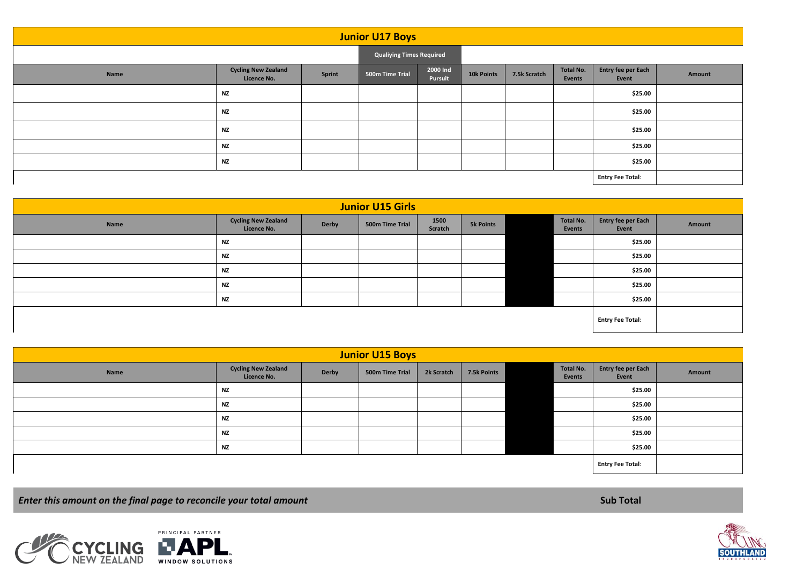| <b>Junior U17 Boys</b>  |                                           |                                 |                 |                     |            |              |                     |                             |        |
|-------------------------|-------------------------------------------|---------------------------------|-----------------|---------------------|------------|--------------|---------------------|-----------------------------|--------|
|                         |                                           | <b>Qualiying Times Required</b> |                 |                     |            |              |                     |                             |        |
| Name                    | <b>Cycling New Zealand</b><br>Licence No. | Sprint                          | 500m Time Trial | 2000 Ind<br>Pursuit | 10k Points | 7.5k Scratch | Total No.<br>Events | Entry fee per Each<br>Event | Amount |
|                         | <b>NZ</b>                                 |                                 |                 |                     |            |              |                     | \$25.00                     |        |
|                         | <b>NZ</b>                                 |                                 |                 |                     |            |              |                     | \$25.00                     |        |
|                         | <b>NZ</b>                                 |                                 |                 |                     |            |              |                     | \$25.00                     |        |
|                         | <b>NZ</b>                                 |                                 |                 |                     |            |              |                     | \$25.00                     |        |
|                         | <b>NZ</b>                                 |                                 |                 |                     |            |              |                     | \$25.00                     |        |
| <b>Entry Fee Total:</b> |                                           |                                 |                 |                     |            |              |                     |                             |        |

| <b>Junior U15 Girls</b> |                                           |              |                 |                 |                  |  |                     |                             |        |
|-------------------------|-------------------------------------------|--------------|-----------------|-----------------|------------------|--|---------------------|-----------------------------|--------|
| Name                    | <b>Cycling New Zealand</b><br>Licence No. | <b>Derby</b> | 500m Time Trial | 1500<br>Scratch | <b>5k Points</b> |  | Total No.<br>Events | Entry fee per Each<br>Event | Amount |
|                         | <b>NZ</b>                                 |              |                 |                 |                  |  |                     | \$25.00                     |        |
|                         | <b>NZ</b>                                 |              |                 |                 |                  |  |                     | \$25.00                     |        |
|                         | <b>NZ</b>                                 |              |                 |                 |                  |  |                     | \$25.00                     |        |
|                         | <b>NZ</b>                                 |              |                 |                 |                  |  |                     | \$25.00                     |        |
|                         | <b>NZ</b>                                 |              |                 |                 |                  |  |                     | \$25.00                     |        |
|                         |                                           |              |                 |                 |                  |  |                     | <b>Entry Fee Total:</b>     |        |

| <b>Junior U15 Boys</b> |                                           |              |                 |            |             |  |                     |                             |        |
|------------------------|-------------------------------------------|--------------|-----------------|------------|-------------|--|---------------------|-----------------------------|--------|
| Name                   | <b>Cycling New Zealand</b><br>Licence No. | <b>Derby</b> | 500m Time Trial | 2k Scratch | 7.5k Points |  | Total No.<br>Events | Entry fee per Each<br>Event | Amount |
|                        | NZ                                        |              |                 |            |             |  |                     | \$25.00                     |        |
|                        | NZ                                        |              |                 |            |             |  |                     | \$25.00                     |        |
|                        | <b>NZ</b>                                 |              |                 |            |             |  |                     | \$25.00                     |        |
|                        | <b>NZ</b>                                 |              |                 |            |             |  |                     | \$25.00                     |        |
|                        | <b>NZ</b>                                 |              |                 |            |             |  |                     | \$25.00                     |        |
|                        |                                           |              |                 |            |             |  |                     | <b>Entry Fee Total:</b>     |        |

*Enter this amount on the final page to reconcile your total amount* **<b>Sub Total Sub Total Sub Total Sub Total**